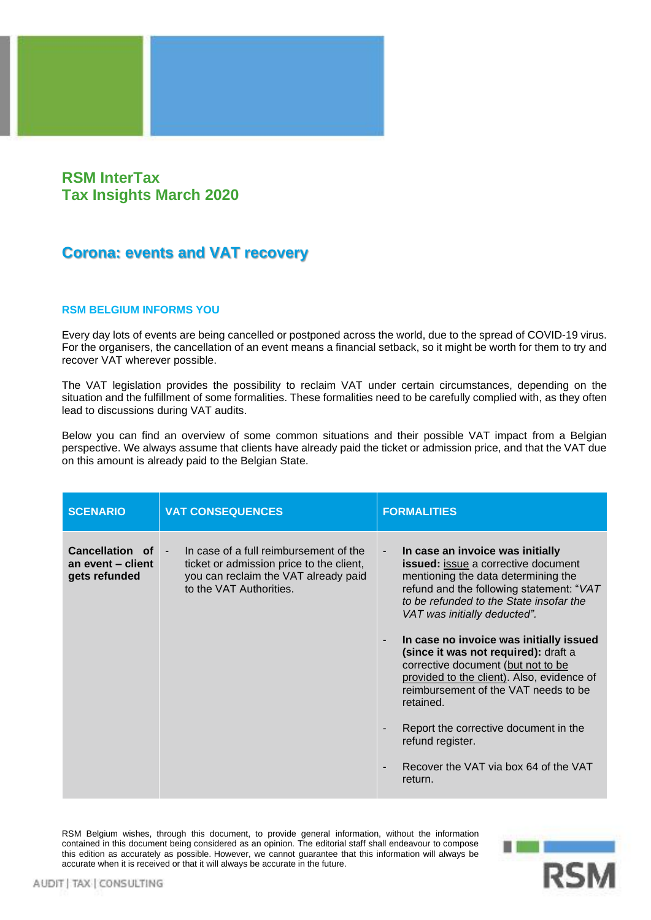## **RSM InterTax Tax Insights March 2020**

## **Corona: events and VAT recovery**

## **RSM BELGIUM INFORMS YOU**

Every day lots of events are being cancelled or postponed across the world, due to the spread of COVID-19 virus. For the organisers, the cancellation of an event means a financial setback, so it might be worth for them to try and recover VAT wherever possible.

The VAT legislation provides the possibility to reclaim VAT under certain circumstances, depending on the situation and the fulfillment of some formalities. These formalities need to be carefully complied with, as they often lead to discussions during VAT audits.

Below you can find an overview of some common situations and their possible VAT impact from a Belgian perspective. We always assume that clients have already paid the ticket or admission price, and that the VAT due on this amount is already paid to the Belgian State.

| <b>SCENARIO</b>                                       | <b>VAT CONSEQUENCES</b>                                                                                                                                         | <b>FORMALITIES</b>                                                                                                                                                                                                                                                                                                                                                                                                                                                                                                                                                                                                                    |
|-------------------------------------------------------|-----------------------------------------------------------------------------------------------------------------------------------------------------------------|---------------------------------------------------------------------------------------------------------------------------------------------------------------------------------------------------------------------------------------------------------------------------------------------------------------------------------------------------------------------------------------------------------------------------------------------------------------------------------------------------------------------------------------------------------------------------------------------------------------------------------------|
| Cancellation of<br>an event - client<br>gets refunded | In case of a full reimbursement of the<br>$\sim$<br>ticket or admission price to the client,<br>you can reclaim the VAT already paid<br>to the VAT Authorities. | In case an invoice was initially<br>$\overline{\phantom{a}}$<br>issued: issue a corrective document<br>mentioning the data determining the<br>refund and the following statement: "VAT<br>to be refunded to the State insofar the<br>VAT was initially deducted".<br>In case no invoice was initially issued<br>-<br>(since it was not required): draft a<br>corrective document (but not to be<br>provided to the client). Also, evidence of<br>reimbursement of the VAT needs to be<br>retained.<br>Report the corrective document in the<br>refund register.<br>Recover the VAT via box 64 of the VAT<br>$\blacksquare$<br>return. |

RSM Belgium wishes, through this document, to provide general information, without the information contained in this document being considered as an opinion. The editorial staff shall endeavour to compose this edition as accurately as possible. However, we cannot guarantee that this information will always be accurate when it is received or that it will always be accurate in the future.

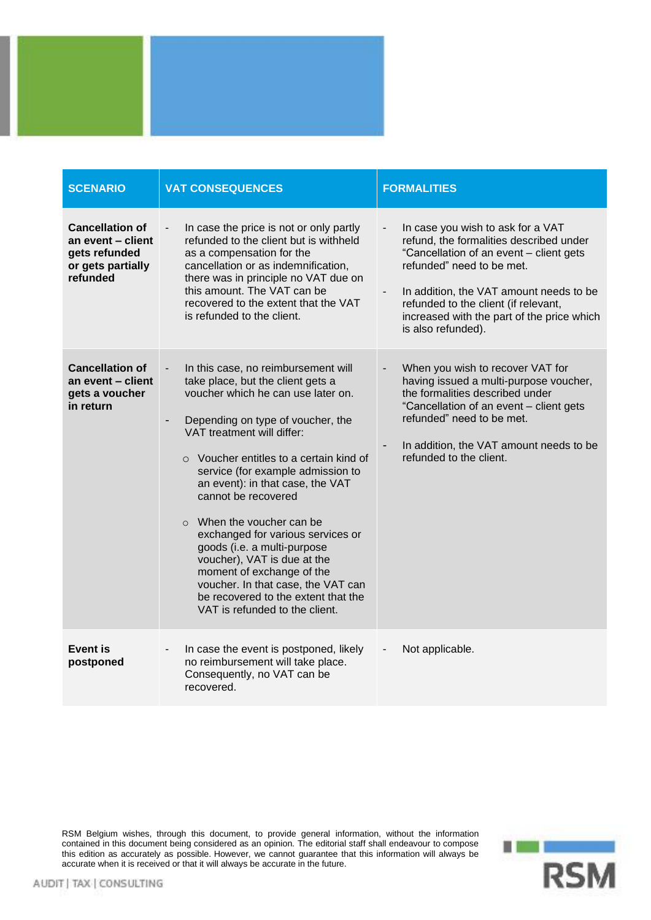

| <b>SCENARIO</b>                                                                               | <b>VAT CONSEQUENCES</b>                                                                                                                                                                                                                                                                                                                                                                                                                                                                                                                                                                                                                    | <b>FORMALITIES</b>                                                                                                                                                                                                                                                                                                                      |
|-----------------------------------------------------------------------------------------------|--------------------------------------------------------------------------------------------------------------------------------------------------------------------------------------------------------------------------------------------------------------------------------------------------------------------------------------------------------------------------------------------------------------------------------------------------------------------------------------------------------------------------------------------------------------------------------------------------------------------------------------------|-----------------------------------------------------------------------------------------------------------------------------------------------------------------------------------------------------------------------------------------------------------------------------------------------------------------------------------------|
| <b>Cancellation of</b><br>an event - client<br>gets refunded<br>or gets partially<br>refunded | In case the price is not or only partly<br>refunded to the client but is withheld<br>as a compensation for the<br>cancellation or as indemnification,<br>there was in principle no VAT due on<br>this amount. The VAT can be<br>recovered to the extent that the VAT<br>is refunded to the client.                                                                                                                                                                                                                                                                                                                                         | In case you wish to ask for a VAT<br>refund, the formalities described under<br>"Cancellation of an event - client gets<br>refunded" need to be met.<br>In addition, the VAT amount needs to be<br>$\overline{\phantom{a}}$<br>refunded to the client (if relevant,<br>increased with the part of the price which<br>is also refunded). |
| <b>Cancellation of</b><br>an event - client<br>gets a voucher<br>in return                    | In this case, no reimbursement will<br>take place, but the client gets a<br>voucher which he can use later on.<br>Depending on type of voucher, the<br>$\overline{\phantom{a}}$<br>VAT treatment will differ:<br>○ Voucher entitles to a certain kind of<br>service (for example admission to<br>an event): in that case, the VAT<br>cannot be recovered<br>$\circ$ When the voucher can be<br>exchanged for various services or<br>goods (i.e. a multi-purpose<br>voucher), VAT is due at the<br>moment of exchange of the<br>voucher. In that case, the VAT can<br>be recovered to the extent that the<br>VAT is refunded to the client. | When you wish to recover VAT for<br>having issued a multi-purpose voucher,<br>the formalities described under<br>"Cancellation of an event - client gets<br>refunded" need to be met.<br>In addition, the VAT amount needs to be<br>$\overline{\phantom{a}}$<br>refunded to the client.                                                 |
| <b>Event is</b><br>postponed                                                                  | In case the event is postponed, likely<br>$\overline{\phantom{a}}$<br>no reimbursement will take place.<br>Consequently, no VAT can be<br>recovered.                                                                                                                                                                                                                                                                                                                                                                                                                                                                                       | Not applicable.                                                                                                                                                                                                                                                                                                                         |

RSM Belgium wishes, through this document, to provide general information, without the information contained in this document being considered as an opinion. The editorial staff shall endeavour to compose this edition as accurately as possible. However, we cannot guarantee that this information will always be accurate when it is received or that it will always be accurate in the future.